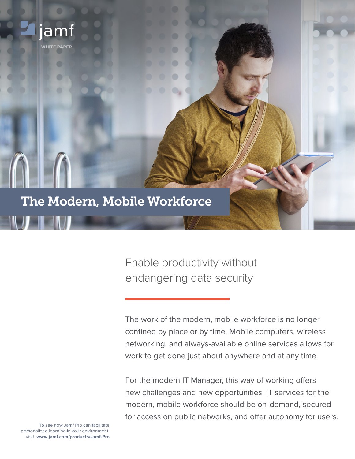

Enable productivity without endangering data security

The work of the modern, mobile workforce is no longer confined by place or by time. Mobile computers, wireless networking, and always-available online services allows for work to get done just about anywhere and at any time.

For the modern IT Manager, this way of working offers new challenges and new opportunities. IT services for the modern, mobile workforce should be on-demand, secured for access on public networks, and offer autonomy for users.

To see how Jamf Pro can facilitate personalized learning in your environment, visit: **www.jamf.com/products/Jamf-Pro**

**WHITE PAPER**

jamt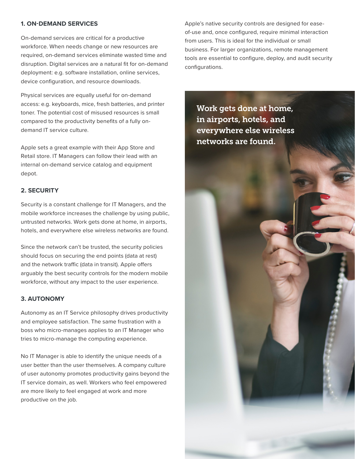### **1. ON-DEMAND SERVICES**

On-demand services are critical for a productive workforce. When needs change or new resources are required, on-demand services eliminate wasted time and disruption. Digital services are a natural fit for on-demand deployment: e.g. software installation, online services, device configuration, and resource downloads.

Physical services are equally useful for on-demand access: e.g. keyboards, mice, fresh batteries, and printer toner. The potential cost of misused resources is small compared to the productivity benefits of a fully ondemand IT service culture.

Apple sets a great example with their App Store and Retail store. IT Managers can follow their lead with an internal on-demand service catalog and equipment depot.

## **2. SECURITY**

Security is a constant challenge for IT Managers, and the mobile workforce increases the challenge by using public, untrusted networks. Work gets done at home, in airports, hotels, and everywhere else wireless networks are found.

Since the network can't be trusted, the security policies should focus on securing the end points (data at rest) and the network traffic (data in transit). Apple offers arguably the best security controls for the modern mobile workforce, without any impact to the user experience.

#### **3. AUTONOMY**

Autonomy as an IT Service philosophy drives productivity and employee satisfaction. The same frustration with a boss who micro-manages applies to an IT Manager who tries to micro-manage the computing experience.

No IT Manager is able to identify the unique needs of a user better than the user themselves. A company culture of user autonomy promotes productivity gains beyond the IT service domain, as well. Workers who feel empowered are more likely to feel engaged at work and more productive on the job.

Apple's native security controls are designed for easeof-use and, once configured, require minimal interaction from users. This is ideal for the individual or small business. For larger organizations, remote management tools are essential to configure, deploy, and audit security configurations.

Work gets done at home, in airports, hotels, and everywhere else wireless networks are found.